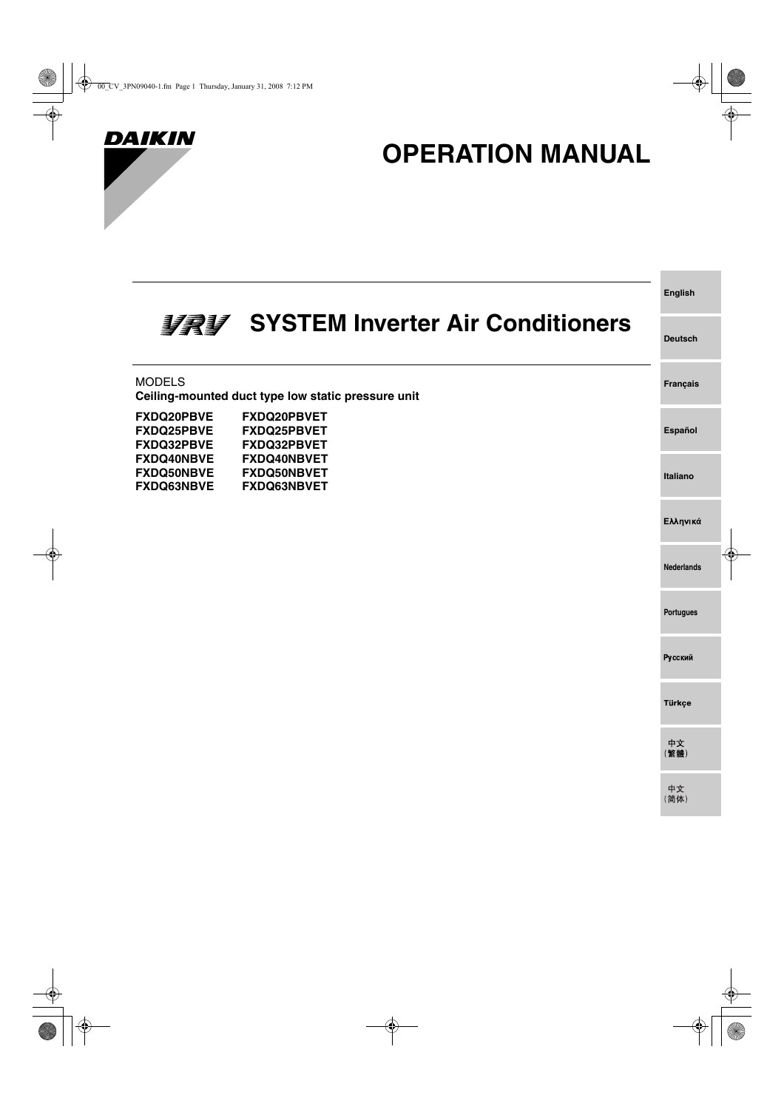

# **OPERATION MANUAL**

|                                                                                     | <b>English</b>    |  |
|-------------------------------------------------------------------------------------|-------------------|--|
| Verter Air Conditioners 3/3/2/2015 VSTEM Inverter Air Conditioners                  | <b>Deutsch</b>    |  |
| <b>MODELS</b><br>Ceiling-mounted duct type low static pressure unit                 | <b>Français</b>   |  |
| FXDQ20PBVE<br>FXDQ20PBVET<br>FXDQ25PBVE<br>FXDQ25PBVET<br>FXDQ32PBVE<br>FXDQ32PBVET | Español           |  |
| FXDQ40NBVE<br>FXDQ40NBVET<br>FXDQ50NBVE<br>FXDQ50NBVET<br>FXDQ63NBVE<br>FXDQ63NBVET | Italiano          |  |
|                                                                                     | Ελληνικά          |  |
|                                                                                     | <b>Nederlands</b> |  |
|                                                                                     | Portugues         |  |
|                                                                                     | Русский           |  |
|                                                                                     | <b>Türkçe</b>     |  |
|                                                                                     | 中文<br>(繁體)        |  |
|                                                                                     | 中文<br>(简体)        |  |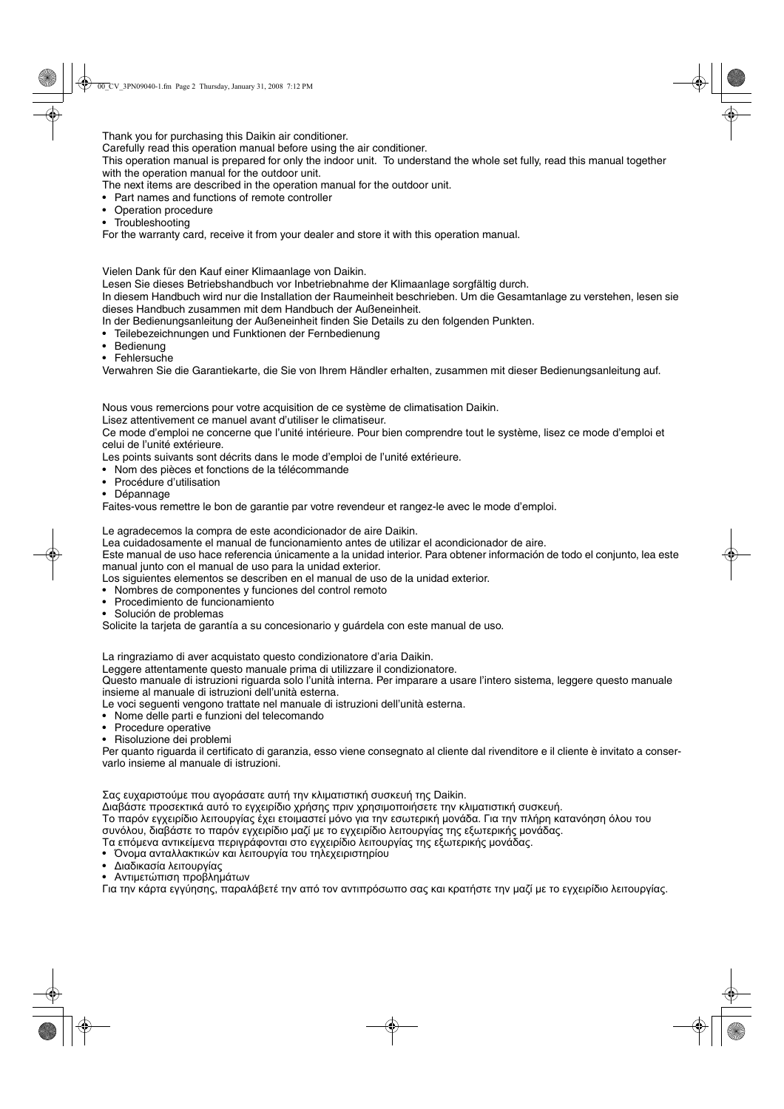Thank you for purchasing this Daikin air conditioner.

Carefully read this operation manual before using the air conditioner.

This operation manual is prepared for only the indoor unit. To understand the whole set fully, read this manual together with the operation manual for the outdoor unit.

The next items are described in the operation manual for the outdoor unit.

- Part names and functions of remote controller
- Operation procedure
- Troubleshooting

For the warranty card, receive it from your dealer and store it with this operation manual.

Vielen Dank für den Kauf einer Klimaanlage von Daikin.

Lesen Sie dieses Betriebshandbuch vor Inbetriebnahme der Klimaanlage sorgfältig durch.

In diesem Handbuch wird nur die Installation der Raumeinheit beschrieben. Um die Gesamtanlage zu verstehen, lesen sie dieses Handbuch zusammen mit dem Handbuch der Außeneinheit.

In der Bedienungsanleitung der Außeneinheit finden Sie Details zu den folgenden Punkten.

- Teilebezeichnungen und Funktionen der Fernbedienung<br>• Bedienung
- **Bedienung**
- Fehlersuche

Verwahren Sie die Garantiekarte, die Sie von Ihrem Händler erhalten, zusammen mit dieser Bedienungsanleitung auf.

Nous vous remercions pour votre acquisition de ce système de climatisation Daikin.

Lisez attentivement ce manuel avant d'utiliser le climatiseur.

Ce mode d'emploi ne concerne que l'unité intérieure. Pour bien comprendre tout le système, lisez ce mode d'emploi et celui de l'unité extérieure.

Les points suivants sont décrits dans le mode d'emploi de l'unité extérieure.

- Nom des pièces et fonctions de la télécommande
- Procédure d'utilisation
- Dépannage

Faites-vous remettre le bon de garantie par votre revendeur et rangez-le avec le mode d'emploi.

Le agradecemos la compra de este acondicionador de aire Daikin.

Lea cuidadosamente el manual de funcionamiento antes de utilizar el acondicionador de aire.

Este manual de uso hace referencia únicamente a la unidad interior. Para obtener información de todo el conjunto, lea este manual junto con el manual de uso para la unidad exterior.

Los siguientes elementos se describen en el manual de uso de la unidad exterior.

- Nombres de componentes y funciones del control remoto<br>• Procedimiento de funcionamiento
- Procedimiento de funcionamiento
- Solución de problemas

Solicite la tarjeta de garantía a su concesionario y guárdela con este manual de uso.

La ringraziamo di aver acquistato questo condizionatore d'aria Daikin.

Leggere attentamente questo manuale prima di utilizzare il condizionatore.

Questo manuale di istruzioni riguarda solo l'unità interna. Per imparare a usare l'intero sistema, leggere questo manuale insieme al manuale di istruzioni dell'unità esterna.

Le voci seguenti vengono trattate nel manuale di istruzioni dell'unità esterna.

• Nome delle parti e funzioni del telecomando

- Procedure operative
- Risoluzione dei problemi

Per quanto riguarda il certificato di garanzia, esso viene consegnato al cliente dal rivenditore e il cliente è invitato a conservarlo insieme al manuale di istruzioni.

Σας ευχαριστούμε που αγοράσατε αυτή την κλιματιστική συσκευή της Daikin.

Διαβάστε προσεκτικά αυτό το εγχειρίδιο χρήσης πριν χρησιμοποιήσετε την κλιματιστική συσκευή.

Το παρόν εγχειρίδιο λειτουργίας έχει ετοιμαστεί μόνο για την εσωτερική μονάδα. Για την πλήρη κατανόηση όλου του συνόλου, διαβάστε το παρόν εγχειρίδιο μαζί με το εγχειρίδιο λειτουργίας της εξωτερικής μονάδας.

Τα επόμενα αντικείμενα περιγράφονται στο εγχειρίδιο λειτουργίας της εξωτερικής μονάδας.

- Όνομα ανταλλακτικών και λειτουργία του τηλεχειριστηρίου
- Διαδικασία λειτουργίας
- Αντιμετώπιση προβλημάτων

Για την κάρτα εγγύησης, παραλάβετέ την από τον αντιπρόσωπο σας και κρατήστε την μαζί με το εγχειρίδιο λειτουργίας.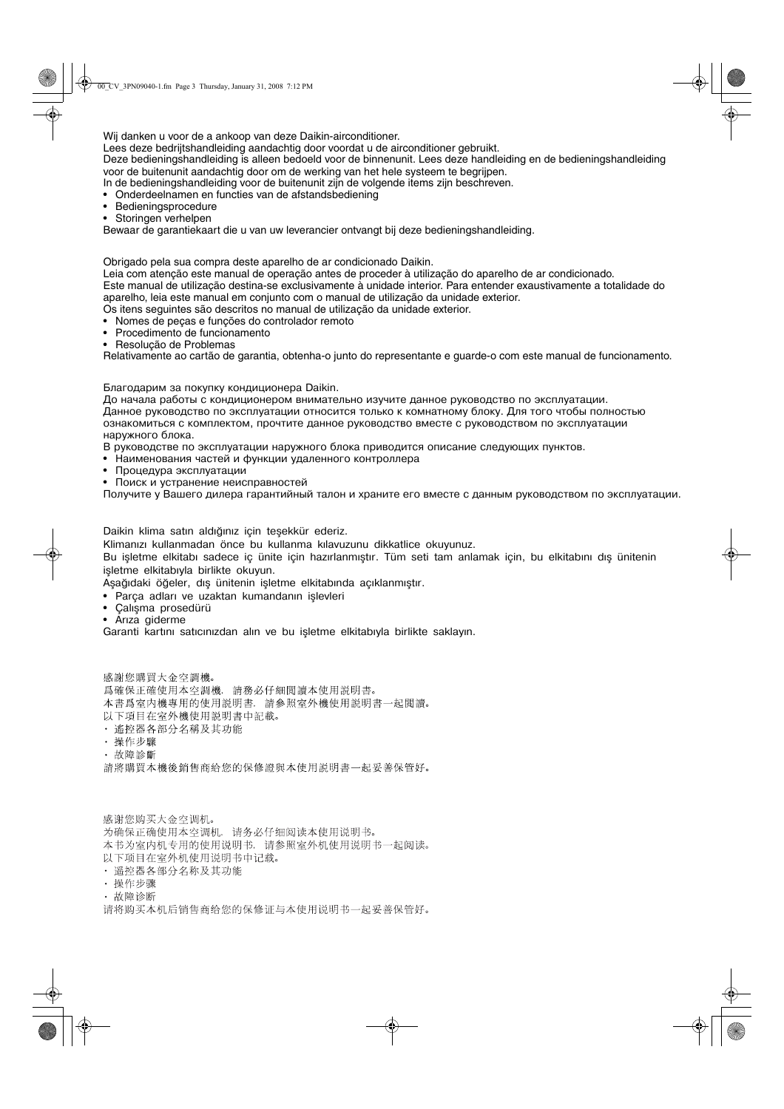Wij danken u voor de a ankoop van deze Daikin-airconditioner.

Lees deze bedrijtshandleiding aandachtig door voordat u de airconditioner gebruikt.

Deze bedieningshandleiding is alleen bedoeld voor de binnenunit. Lees deze handleiding en de bedieningshandleiding voor de buitenunit aandachtig door om de werking van het hele systeem te begrijpen.

In de bedieningshandleiding voor de buitenunit zijn de volgende items zijn beschreven.

- Onderdeelnamen en functies van de afstandsbediening
- Bedieningsprocedure  $\bullet$
- Storingen verhelpen

Bewaar de garantiekaart die u van uw leverancier ontvangt bij deze bedieningshandleiding.

Obrigado pela sua compra deste aparelho de ar condicionado Daikin.

Leia com atenção este manual de operação antes de proceder à utilização do aparelho de ar condicionado. Este manual de utilização destina-se exclusivamente à unidade interior. Para entender exaustivamente a totalidade do aparelho, leia este manual em coniunto com o manual de utilização da unidade exterior.

Os itens sequintes são descritos no manual de utilização da unidade exterior.

- Nomes de pecas e funções do controlador remoto
- Procedimento de funcionamento · Resolucão de Problemas

Relativamente ao cartão de garantia, obtenha-o junto do representante e guarde-o com este manual de funcionamento.

Благодарим за покупку кондиционера Daikin.

До начала работы с кондиционером внимательно изучите данное руководство по эксплуатации. Данное руководство по эксплуатации относится только к комнатному блоку. Для того чтобы полностью ознакомиться с комплектом, прочтите данное руководство вместе с руководством по эксплуатации наружного блока.

В руководстве по эксплуатации наружного блока приводится описание следующих пунктов.

• Наименования частей и функции удаленного контроллера

- Процедура эксплуатации
- Поиск и устранение неисправностей

Получите у Вашего дилера гарантийный талон и храните его вместе с данным руководством по эксплуатации.

Daikin klima satın aldığınız için tesekkür ederiz.

Klimanızı kullanmadan önce bu kullanma kılavuzunu dikkatlice okuyunuz.

Bu isletme elkitabı sadece iç ünite için hazırlanmıştır. Tüm seti tam anlamak için, bu elkitabını dış ünitenin isletme elkitabıyla birlikte okuyun.

Asağıdaki öğeler, dıs ünitenin isletme elkitabında acıklanmıştır.

- · Parca adları ve uzaktan kumandanın islevleri
- Calısma prosedürü
- Arıza giderme

Garanti kartını satıcınızdan alın ve bu isletme elkitabıyla birlikte saklayın.

感謝您購買大金空調機。 爲確保正確使用本空調機,請務必仔細閲讀本使用説明書。 本書爲室内機專用的使用説明書,請參照室外機使用説明書一起閲讀。 以下項目在室外機使用説明書中記載。 • 遙控器各部分名稱及其功能

- 操作步驟
- 故障診斷

請將購買本機後銷售商給您的保修證與本使用説明書一起妥善保管好。

感谢您购买大金空调机。 为确保正确使用本空调机, 请务必仔细阅读本使用说明书。 本书为室内机专用的使用说明书, 请参照室外机使用说明书一起阅读。 以下项目在室外机使用说明书中记载。 · 遥控器各部分名称及其功能

- 操作步骤
- 故障诊断

请将购买本机后销售商给您的保修证与本使用说明书一起妥善保管好。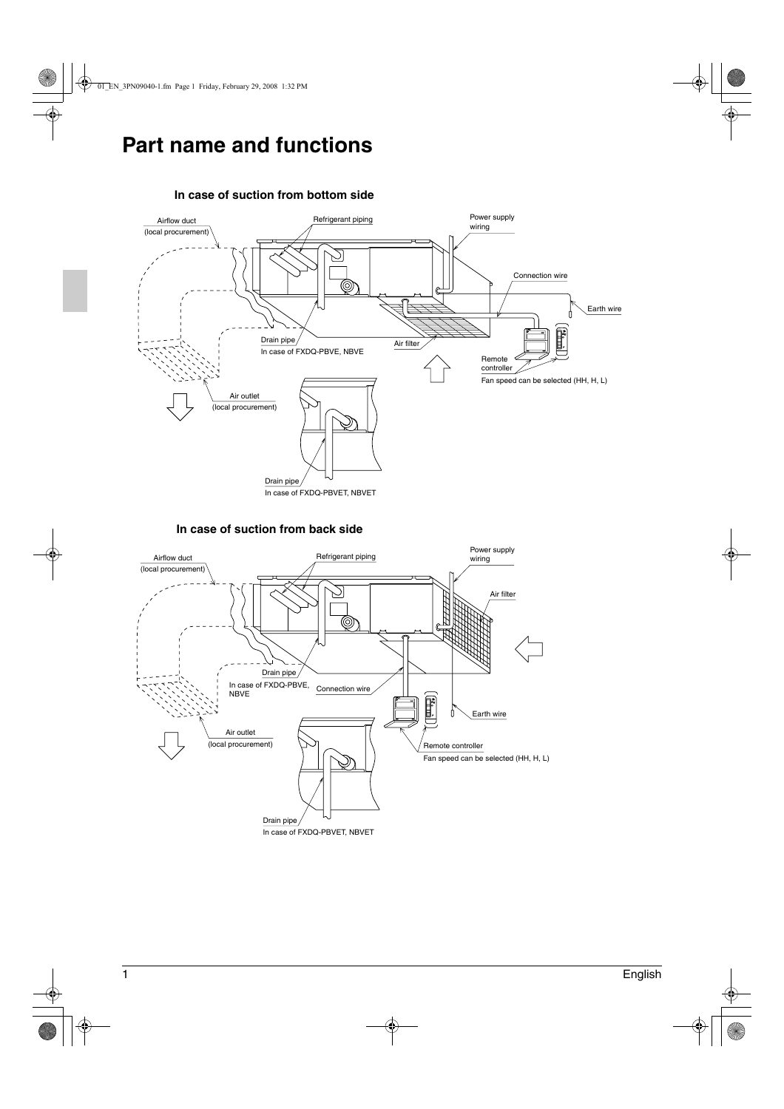## **Part name and functions**



#### **In case of suction from bottom side**

**In case of suction from back side**

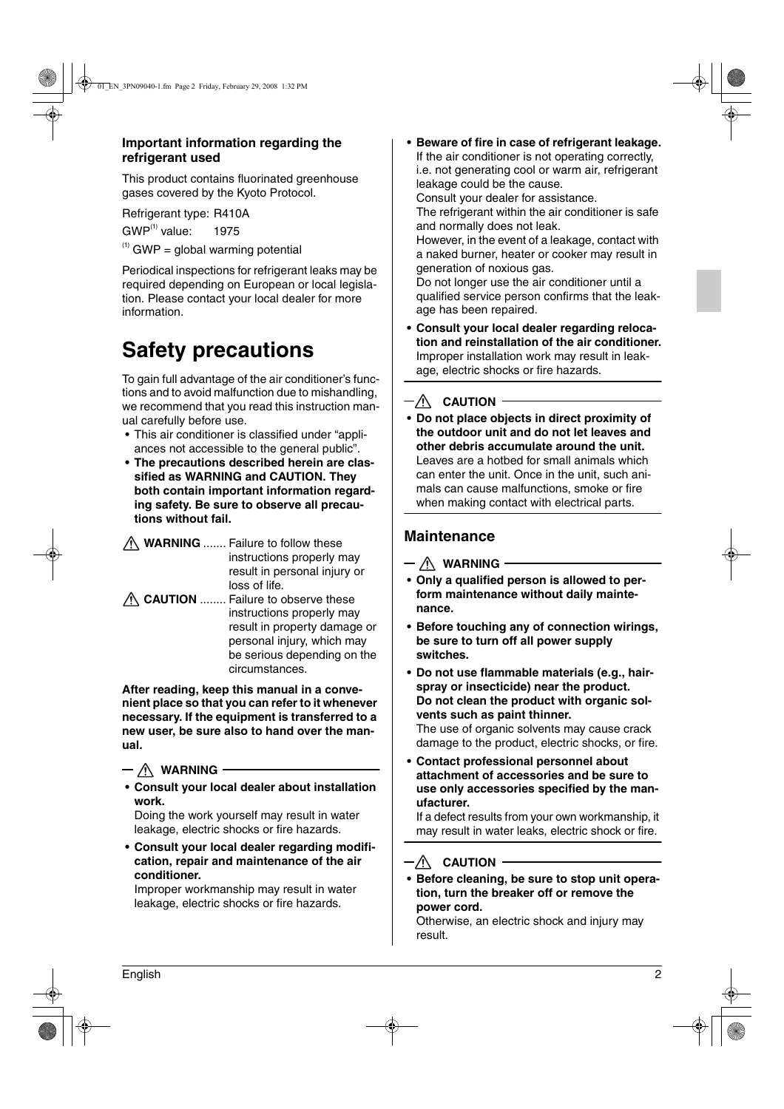## **Important information regarding the refrigerant used**

This product contains fluorinated greenhouse gases covered by the Kyoto Protocol.

Refrigerant type: R410A

 $GWP<sup>(1)</sup>$  value: 1975

 $<sup>(1)</sup>$  GWP = global warming potential</sup>

Periodical inspections for refrigerant leaks may be required depending on European or local legislation. Please contact your local dealer for more information.

## **Safety precautions**

To gain full advantage of the air conditioner's functions and to avoid malfunction due to mishandling, we recommend that you read this instruction manual carefully before use.

- This air conditioner is classified under "appliances not accessible to the general public".
- **The precautions described herein are classified as WARNING and CAUTION. They both contain important information regarding safety. Be sure to observe all precautions without fail.**
- **WARNING** ....... Failure to follow these instructions properly may result in personal injury or loss of life.
- **CAUTION** ........ Failure to observe these instructions properly may result in property damage or personal injury, which may be serious depending on the circumstances.

**After reading, keep this manual in a convenient place so that you can refer to it whenever necessary. If the equipment is transferred to a new user, be sure also to hand over the manual.**

- $-\wedge$  WARNING —
- **Consult your local dealer about installation work.**

Doing the work yourself may result in water leakage, electric shocks or fire hazards.

**• Consult your local dealer regarding modification, repair and maintenance of the air conditioner.**

Improper workmanship may result in water leakage, electric shocks or fire hazards.

**• Beware of fire in case of refrigerant leakage.** If the air conditioner is not operating correctly, i.e. not generating cool or warm air, refrigerant leakage could be the cause. Consult your dealer for assistance.

The refrigerant within the air conditioner is safe and normally does not leak.

However, in the event of a leakage, contact with a naked burner, heater or cooker may result in generation of noxious gas.

Do not longer use the air conditioner until a qualified service person confirms that the leakage has been repaired.

**• Consult your local dealer regarding relocation and reinstallation of the air conditioner.** Improper installation work may result in leakage, electric shocks or fire hazards.

## $-\triangle$  Caution –

**• Do not place objects in direct proximity of the outdoor unit and do not let leaves and other debris accumulate around the unit.** Leaves are a hotbed for small animals which can enter the unit. Once in the unit, such animals can cause malfunctions, smoke or fire when making contact with electrical parts.

## **Maintenance**

- $\wedge$  warning
- **Only a qualified person is allowed to perform maintenance without daily maintenance.**
- **Before touching any of connection wirings, be sure to turn off all power supply switches.**
- **Do not use flammable materials (e.g., hairspray or insecticide) near the product. Do not clean the product with organic solvents such as paint thinner.**

The use of organic solvents may cause crack damage to the product, electric shocks, or fire.

**• Contact professional personnel about attachment of accessories and be sure to use only accessories specified by the manufacturer.**

If a defect results from your own workmanship, it may result in water leaks, electric shock or fire.

## $-\wedge$  Caution  $-$

**• Before cleaning, be sure to stop unit operation, turn the breaker off or remove the power cord.**

Otherwise, an electric shock and injury may result.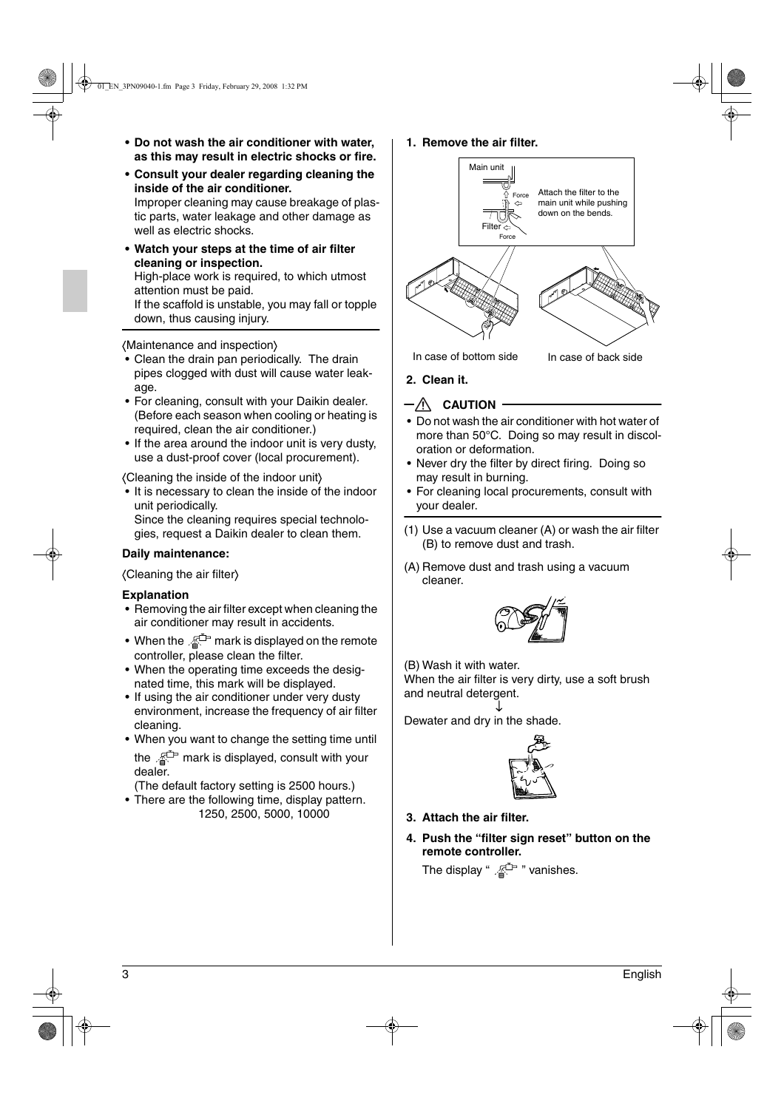- **Do not wash the air conditioner with water, as this may result in electric shocks or fire.**
- **Consult your dealer regarding cleaning the inside of the air conditioner.** Improper cleaning may cause breakage of plastic parts, water leakage and other damage as well as electric shocks.
- **Watch your steps at the time of air filter cleaning or inspection.**

High-place work is required, to which utmost attention must be paid.

If the scaffold is unstable, you may fall or topple down, thus causing injury.

## 〈Maintenance and inspection〉

- Clean the drain pan periodically. The drain pipes clogged with dust will cause water leakage.
- For cleaning, consult with your Daikin dealer. (Before each season when cooling or heating is required, clean the air conditioner.)
- If the area around the indoor unit is very dusty, use a dust-proof cover (local procurement).

〈Cleaning the inside of the indoor unit〉

• It is necessary to clean the inside of the indoor unit periodically. Since the cleaning requires special technologies, request a Daikin dealer to clean them.

**Daily maintenance:**

〈Cleaning the air filter〉

#### **Explanation**

- Removing the air filter except when cleaning the air conditioner may result in accidents.
- When the  $\mathbb{R}^{\square}$  mark is displayed on the remote controller, please clean the filter.
- When the operating time exceeds the designated time, this mark will be displayed.
- If using the air conditioner under very dusty environment, increase the frequency of air filter cleaning.
- When you want to change the setting time until the  $\mathbb{R}^{\square}$  mark is displayed, consult with your
	- dealer.

(The default factory setting is 2500 hours.)

• There are the following time, display pattern. 1250, 2500, 5000, 10000

#### **1. Remove the air filter.**



In case of bottom side In case of back side

**2. Clean it.**

## $-\wedge$  **CAUTION**

- Do not wash the air conditioner with hot water of more than 50°C. Doing so may result in discoloration or deformation.
- Never dry the filter by direct firing. Doing so may result in burning.
- For cleaning local procurements, consult with your dealer.
- (1) Use a vacuum cleaner (A) or wash the air filter (B) to remove dust and trash.
- (A) Remove dust and trash using a vacuum cleaner.



(B) Wash it with water. When the air filter is very dirty, use a soft brush and neutral detergent.

↓ Dewater and dry in the shade.



- **3. Attach the air filter.**
- **4. Push the "filter sign reset" button on the remote controller.**

The display " $\mathbb{R}^{\pm}$ " vanishes.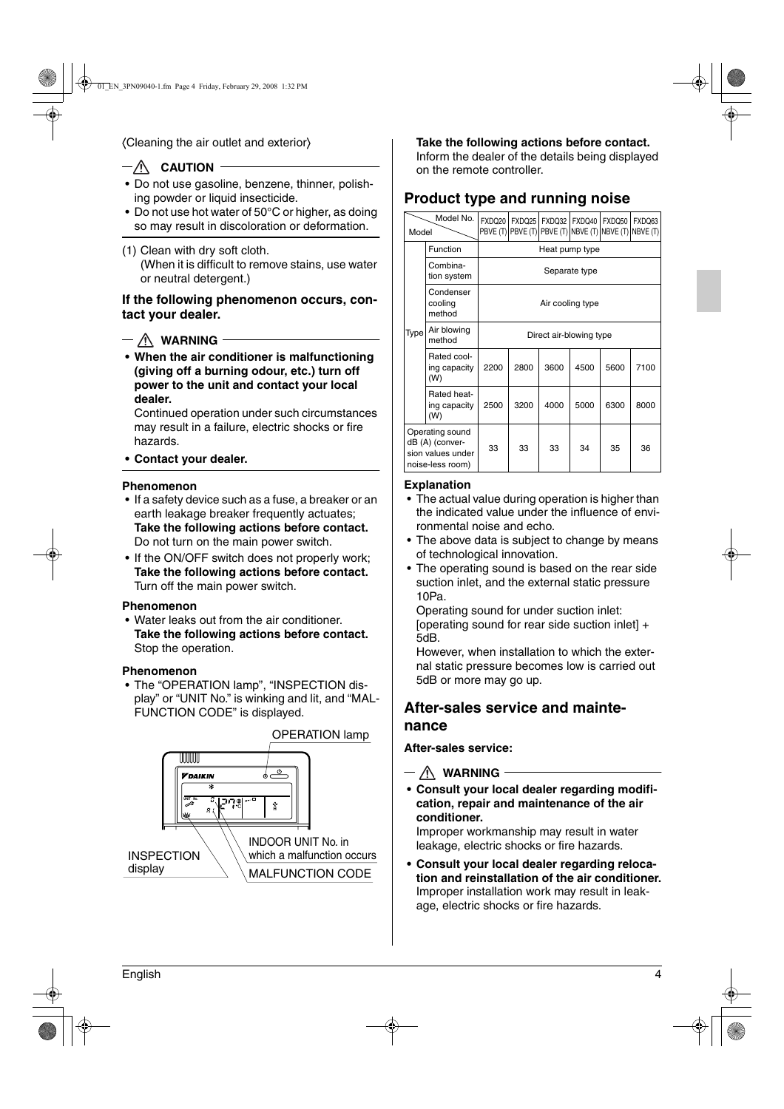## 〈Cleaning the air outlet and exterior〉

## $-\triangle$  **CAUTION**

- Do not use gasoline, benzene, thinner, polishing powder or liquid insecticide.
- Do not use hot water of 50°C or higher, as doing so may result in discoloration or deformation.
- (1) Clean with dry soft cloth. (When it is difficult to remove stains, use water or neutral detergent.)

#### **If the following phenomenon occurs, contact your dealer.**

## $-\wedge$  WARNING -

**• When the air conditioner is malfunctioning (giving off a burning odour, etc.) turn off power to the unit and contact your local dealer.**

Continued operation under such circumstances may result in a failure, electric shocks or fire hazards.

**• Contact your dealer.**

## **Phenomenon**

- If a safety device such as a fuse, a breaker or an earth leakage breaker frequently actuates; **Take the following actions before contact.** Do not turn on the main power switch.
- If the ON/OFF switch does not properly work; **Take the following actions before contact.** Turn off the main power switch.

#### **Phenomenon**

• Water leaks out from the air conditioner. **Take the following actions before contact.** Stop the operation.

#### **Phenomenon**

• The "OPERATION lamp", "INSPECTION display" or "UNIT No." is winking and lit, and "MAL-FUNCTION CODE" is displayed.



#### **Take the following actions before contact.**

Inform the dealer of the details being displayed on the remote controller.

## **Product type and running noise**

| Model No.<br>Model                                                          |                                    | FXDQ20<br>PBVE (T)      | FXDQ25<br>PBVE (T) | FXDO32 | FXDO40<br>PBVE (T) NBVE (T) NBVE (T) NBVE (T) | FXDQ50 | FXDQ63 |
|-----------------------------------------------------------------------------|------------------------------------|-------------------------|--------------------|--------|-----------------------------------------------|--------|--------|
| Type                                                                        | Function                           | Heat pump type          |                    |        |                                               |        |        |
|                                                                             | Combina-<br>tion system            | Separate type           |                    |        |                                               |        |        |
|                                                                             | Condenser<br>cooling<br>method     | Air cooling type        |                    |        |                                               |        |        |
|                                                                             | Air blowing<br>method              | Direct air-blowing type |                    |        |                                               |        |        |
|                                                                             | Rated cool-<br>ing capacity<br>(W) | 2200                    | 2800               | 3600   | 4500                                          | 5600   | 7100   |
|                                                                             | Rated heat-<br>ing capacity<br>(W) | 2500                    | 3200               | 4000   | 5000                                          | 6300   | 8000   |
| Operating sound<br>dB (A) (conver-<br>sion values under<br>noise-less room) |                                    | 33                      | 33                 | 33     | 34                                            | 35     | 36     |

#### **Explanation**

- The actual value during operation is higher than the indicated value under the influence of environmental noise and echo.
- The above data is subject to change by means of technological innovation.
- The operating sound is based on the rear side suction inlet, and the external static pressure 10Pa.

Operating sound for under suction inlet: [operating sound for rear side suction inlet] + 5dB.

However, when installation to which the external static pressure becomes low is carried out 5dB or more may go up.

## **After-sales service and maintenance**

#### **After-sales service:**

- **WARNING**
- **Consult your local dealer regarding modification, repair and maintenance of the air conditioner.**

Improper workmanship may result in water leakage, electric shocks or fire hazards.

**• Consult your local dealer regarding relocation and reinstallation of the air conditioner.** Improper installation work may result in leakage, electric shocks or fire hazards.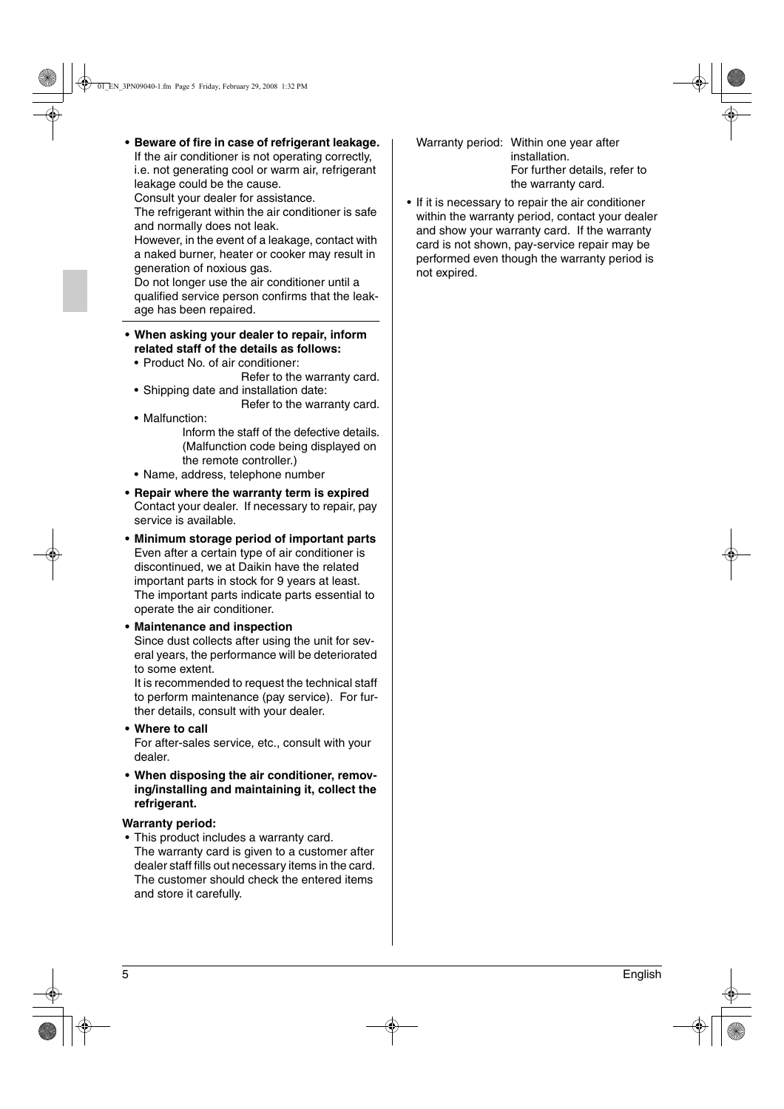**• Beware of fire in case of refrigerant leakage.** If the air conditioner is not operating correctly, i.e. not generating cool or warm air, refrigerant leakage could be the cause.

Consult your dealer for assistance.

The refrigerant within the air conditioner is safe and normally does not leak.

However, in the event of a leakage, contact with a naked burner, heater or cooker may result in generation of noxious gas.

Do not longer use the air conditioner until a qualified service person confirms that the leakage has been repaired.

- **When asking your dealer to repair, inform related staff of the details as follows:**
	- Product No. of air conditioner:
	- Refer to the warranty card. • Shipping date and installation date:
		- Refer to the warranty card.
	- Malfunction: Inform the staff of the defective details. (Malfunction code being displayed on the remote controller.)
	- Name, address, telephone number
- **Repair where the warranty term is expired** Contact your dealer. If necessary to repair, pay service is available.
- **Minimum storage period of important parts** Even after a certain type of air conditioner is discontinued, we at Daikin have the related important parts in stock for 9 years at least. The important parts indicate parts essential to operate the air conditioner.
- **Maintenance and inspection**

Since dust collects after using the unit for several years, the performance will be deteriorated to some extent.

It is recommended to request the technical staff to perform maintenance (pay service). For further details, consult with your dealer.

**• Where to call**

For after-sales service, etc., consult with your dealer.

**• When disposing the air conditioner, removing/installing and maintaining it, collect the refrigerant.**

### **Warranty period:**

• This product includes a warranty card. The warranty card is given to a customer after dealer staff fills out necessary items in the card. The customer should check the entered items and store it carefully.

- Warranty period: Within one year after installation. For further details, refer to the warranty card.
- If it is necessary to repair the air conditioner within the warranty period, contact your dealer and show your warranty card. If the warranty card is not shown, pay-service repair may be performed even though the warranty period is not expired.